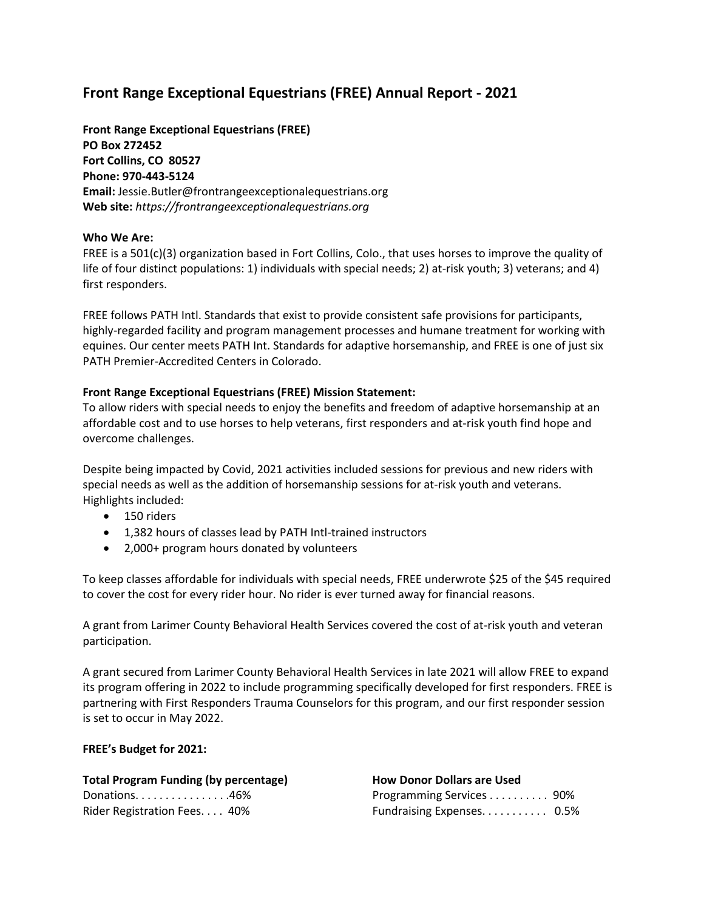# **Front Range Exceptional Equestrians (FREE) Annual Report - 2021**

**Front Range Exceptional Equestrians (FREE) PO Box 272452 Fort Collins, CO 80527 Phone: 970-443-5124 Email:** [Jessie.Butler@frontrangeexceptionalequestrians.org](mailto:Jessie.Butler@frontrangeexceptionalequestrians.org) **Web site:** *[https://frontrangeexceptionalequestrians.org](https://frontrangeexceptionalequestrians.org/)*

## **Who We Are:**

FREE is a 501(c)(3) organization based in Fort Collins, Colo., that uses horses to improve the quality of life of four distinct populations: 1) individuals with special needs; 2) at-risk youth; 3) veterans; and 4) first responders.

FREE follows PATH Intl. Standards that exist to provide consistent safe provisions for participants, highly-regarded facility and program management processes and humane treatment for working with equines. Our center meets PATH Int. Standards for adaptive horsemanship, and FREE is one of just six PATH Premier-Accredited Centers in Colorado.

## **Front Range Exceptional Equestrians (FREE) Mission Statement:**

To allow riders with special needs to enjoy the benefits and freedom of adaptive horsemanship at an affordable cost and to use horses to help veterans, first responders and at-risk youth find hope and overcome challenges.

Despite being impacted by Covid, 2021 activities included sessions for previous and new riders with special needs as well as the addition of horsemanship sessions for at-risk youth and veterans. Highlights included:

- 150 riders
- 1,382 hours of classes lead by PATH Intl-trained instructors
- 2,000+ program hours donated by volunteers

To keep classes affordable for individuals with special needs, FREE underwrote \$25 of the \$45 required to cover the cost for every rider hour. No rider is ever turned away for financial reasons.

A grant from Larimer County Behavioral Health Services covered the cost of at-risk youth and veteran participation.

A grant secured from Larimer County Behavioral Health Services in late 2021 will allow FREE to expand its program offering in 2022 to include programming specifically developed for first responders. FREE is partnering with First Responders Trauma Counselors for this program, and our first responder session is set to occur in May 2022.

## **FREE's Budget for 2021:**

**Total Program Funding (by percentage) How Donor Dollars are Used** Rider Registration Fees. . . . 40% Fundraising Expenses. . . . . . . . . . . 0.5%

Donations. . . . . . . . . . . . . . . 46% Programming Services . . . . . . . . . . 90%